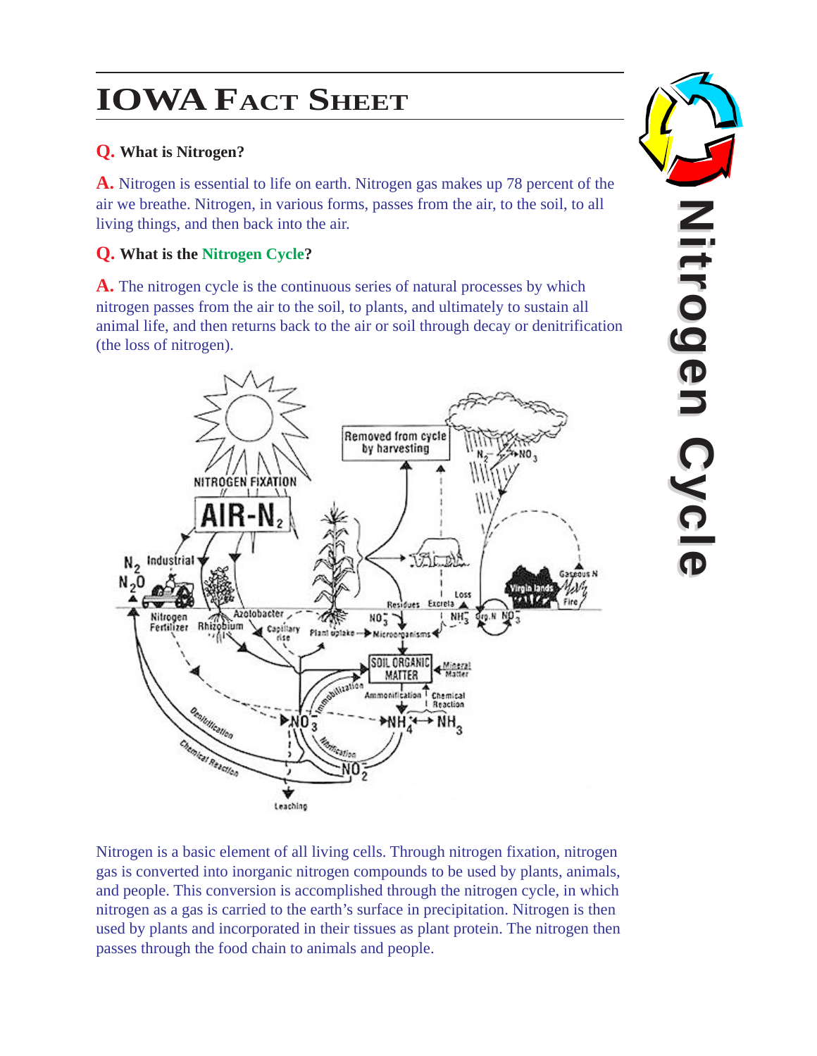# **IOWA FACT SHEET**

## **Q. What is Nitrogen?**

**A.** Nitrogen is essential to life on earth. Nitrogen gas makes up 78 percent of the air we breathe. Nitrogen, in various forms, passes from the air, to the soil, to all living things, and then back into the air .

## **Q. What is the Nitrogen Cycle ?**

**A.** The nitrogen cycle is the continuous series of natural processes by which nitrogen passes from the air to the soil, to plants, and ultimately to sustain all animal life, and then returns back to the air or soil through decay or denitrification (the loss of nitrogen).



Nitrogen is a basic element of all living cells. Through nitrogen fixation, nitrogen gas is converted into inorganic nitrogen compounds to be used by plants, animals, and people. This conversion is accomplished through the nitrogen cycle, in which nitrogen as a gas is carried to the earth's surface in precipitation. Nitrogen is then used by plants and incorporated in their tissues as plant protein. The nitrogen then passes through the food chain to animals and people.